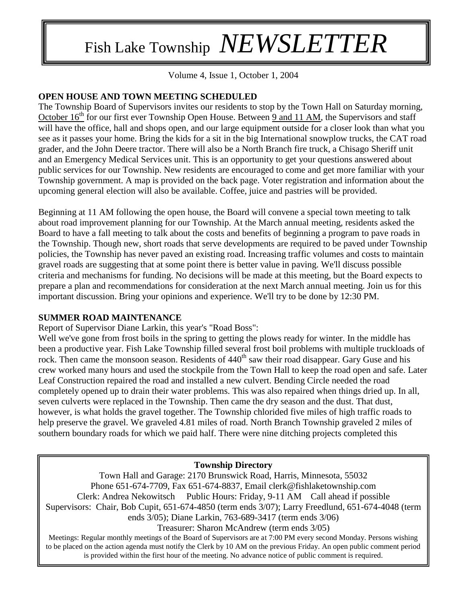# Fish Lake Township *NEWSLETTER*

Volume 4, Issue 1, October 1, 2004

## **OPEN HOUSE AND TOWN MEETING SCHEDULED**

The Township Board of Supervisors invites our residents to stop by the Town Hall on Saturday morning, October  $16<sup>th</sup>$  for our first ever Township Open House. Between  $9$  and 11 AM, the Supervisors and staff will have the office, hall and shops open, and our large equipment outside for a closer look than what you see as it passes your home. Bring the kids for a sit in the big International snowplow trucks, the CAT road grader, and the John Deere tractor. There will also be a North Branch fire truck, a Chisago Sheriff unit and an Emergency Medical Services unit. This is an opportunity to get your questions answered about public services for our Township. New residents are encouraged to come and get more familiar with your Township government. A map is provided on the back page. Voter registration and information about the upcoming general election will also be available. Coffee, juice and pastries will be provided.

Beginning at 11 AM following the open house, the Board will convene a special town meeting to talk about road improvement planning for our Township. At the March annual meeting, residents asked the Board to have a fall meeting to talk about the costs and benefits of beginning a program to pave roads in the Township. Though new, short roads that serve developments are required to be paved under Township policies, the Township has never paved an existing road. Increasing traffic volumes and costs to maintain gravel roads are suggesting that at some point there is better value in paving. We'll discuss possible criteria and mechanisms for funding. No decisions will be made at this meeting, but the Board expects to prepare a plan and recommendations for consideration at the next March annual meeting. Join us for this important discussion. Bring your opinions and experience. We'll try to be done by 12:30 PM.

### **SUMMER ROAD MAINTENANCE**

Report of Supervisor Diane Larkin, this year's "Road Boss":

Well we've gone from frost boils in the spring to getting the plows ready for winter. In the middle has been a productive year. Fish Lake Township filled several frost boil problems with multiple truckloads of rock. Then came the monsoon season. Residents of 440<sup>th</sup> saw their road disappear. Gary Guse and his crew worked many hours and used the stockpile from the Town Hall to keep the road open and safe. Later Leaf Construction repaired the road and installed a new culvert. Bending Circle needed the road completely opened up to drain their water problems. This was also repaired when things dried up. In all, seven culverts were replaced in the Township. Then came the dry season and the dust. That dust, however, is what holds the gravel together. The Township chlorided five miles of high traffic roads to help preserve the gravel. We graveled 4.81 miles of road. North Branch Township graveled 2 miles of southern boundary roads for which we paid half. There were nine ditching projects completed this

### **Township Directory**

Town Hall and Garage: 2170 Brunswick Road, Harris, Minnesota, 55032 Phone 651-674-7709, Fax 651-674-8837, Email clerk@fishlaketownship.com Clerk: Andrea Nekowitsch Public Hours: Friday, 9-11 AM Call ahead if possible Supervisors: Chair, Bob Cupit, 651-674-4850 (term ends 3/07); Larry Freedlund, 651-674-4048 (term ends 3/05); Diane Larkin, 763-689-3417 (term ends 3/06) Treasurer: Sharon McAndrew (term ends 3/05)

Meetings: Regular monthly meetings of the Board of Supervisors are at 7:00 PM every second Monday. Persons wishing to be placed on the action agenda must notify the Clerk by 10 AM on the previous Friday. An open public comment period is provided within the first hour of the meeting. No advance notice of public comment is required.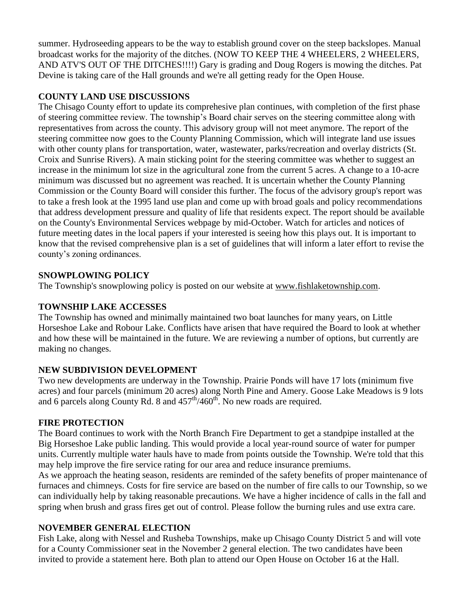summer. Hydroseeding appears to be the way to establish ground cover on the steep backslopes. Manual broadcast works for the majority of the ditches. (NOW TO KEEP THE 4 WHEELERS, 2 WHEELERS, AND ATV'S OUT OF THE DITCHES!!!!) Gary is grading and Doug Rogers is mowing the ditches. Pat Devine is taking care of the Hall grounds and we're all getting ready for the Open House.

# **COUNTY LAND USE DISCUSSIONS**

The Chisago County effort to update its comprehesive plan continues, with completion of the first phase of steering committee review. The township's Board chair serves on the steering committee along with representatives from across the county. This advisory group will not meet anymore. The report of the steering committee now goes to the County Planning Commission, which will integrate land use issues with other county plans for transportation, water, wastewater, parks/recreation and overlay districts (St. Croix and Sunrise Rivers). A main sticking point for the steering committee was whether to suggest an increase in the minimum lot size in the agricultural zone from the current 5 acres. A change to a 10-acre minimum was discussed but no agreement was reached. It is uncertain whether the County Planning Commission or the County Board will consider this further. The focus of the advisory group's report was to take a fresh look at the 1995 land use plan and come up with broad goals and policy recommendations that address development pressure and quality of life that residents expect. The report should be available on the County's Environmental Services webpage by mid-October. Watch for articles and notices of future meeting dates in the local papers if your interested is seeing how this plays out. It is important to know that the revised comprehensive plan is a set of guidelines that will inform a later effort to revise the county's zoning ordinances.

## **SNOWPLOWING POLICY**

The Township's snowplowing policy is posted on our website at [www.fishlaketownship.com.](http://www.fishlaketownship.com/)

## **TOWNSHIP LAKE ACCESSES**

The Township has owned and minimally maintained two boat launches for many years, on Little Horseshoe Lake and Robour Lake. Conflicts have arisen that have required the Board to look at whether and how these will be maintained in the future. We are reviewing a number of options, but currently are making no changes.

# **NEW SUBDIVISION DEVELOPMENT**

Two new developments are underway in the Township. Prairie Ponds will have 17 lots (minimum five acres) and four parcels (minimum 20 acres) along North Pine and Amery. Goose Lake Meadows is 9 lots and 6 parcels along County Rd. 8 and  $457<sup>th</sup>/460<sup>th</sup>$ . No new roads are required.

# **FIRE PROTECTION**

The Board continues to work with the North Branch Fire Department to get a standpipe installed at the Big Horseshoe Lake public landing. This would provide a local year-round source of water for pumper units. Currently multiple water hauls have to made from points outside the Township. We're told that this may help improve the fire service rating for our area and reduce insurance premiums.

As we approach the heating season, residents are reminded of the safety benefits of proper maintenance of furnaces and chimneys. Costs for fire service are based on the number of fire calls to our Township, so we can individually help by taking reasonable precautions. We have a higher incidence of calls in the fall and spring when brush and grass fires get out of control. Please follow the burning rules and use extra care.

# **NOVEMBER GENERAL ELECTION**

Fish Lake, along with Nessel and Rusheba Townships, make up Chisago County District 5 and will vote for a County Commissioner seat in the November 2 general election. The two candidates have been invited to provide a statement here. Both plan to attend our Open House on October 16 at the Hall.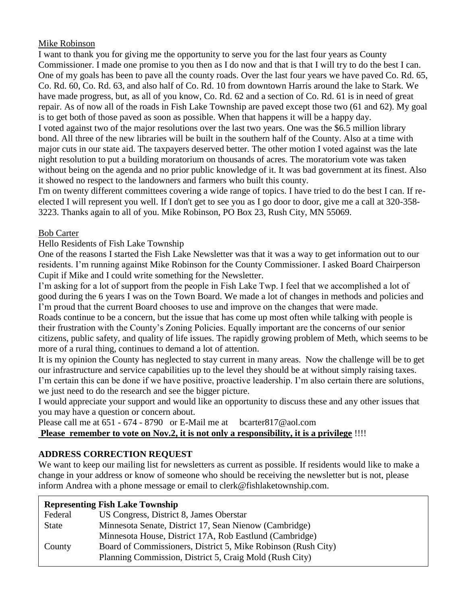Mike Robinson

I want to thank you for giving me the opportunity to serve you for the last four years as County Commissioner. I made one promise to you then as I do now and that is that I will try to do the best I can. One of my goals has been to pave all the county roads. Over the last four years we have paved Co. Rd. 65, Co. Rd. 60, Co. Rd. 63, and also half of Co. Rd. 10 from downtown Harris around the lake to Stark. We have made progress, but, as all of you know, Co. Rd. 62 and a section of Co. Rd. 61 is in need of great repair. As of now all of the roads in Fish Lake Township are paved except those two (61 and 62). My goal is to get both of those paved as soon as possible. When that happens it will be a happy day. I voted against two of the major resolutions over the last two years. One was the \$6.5 million library bond. All three of the new libraries will be built in the southern half of the County. Also at a time with major cuts in our state aid. The taxpayers deserved better. The other motion I voted against was the late night resolution to put a building moratorium on thousands of acres. The moratorium vote was taken without being on the agenda and no prior public knowledge of it. It was bad government at its finest. Also it showed no respect to the landowners and farmers who built this county.

I'm on twenty different committees covering a wide range of topics. I have tried to do the best I can. If reelected I will represent you well. If I don't get to see you as I go door to door, give me a call at 320-358- 3223. Thanks again to all of you. Mike Robinson, PO Box 23, Rush City, MN 55069.

### Bob Carter

Hello Residents of Fish Lake Township

One of the reasons I started the Fish Lake Newsletter was that it was a way to get information out to our residents. I'm running against Mike Robinson for the County Commissioner. I asked Board Chairperson Cupit if Mike and I could write something for the Newsletter.

I'm asking for a lot of support from the people in Fish Lake Twp. I feel that we accomplished a lot of good during the 6 years I was on the Town Board. We made a lot of changes in methods and policies and I'm proud that the current Board chooses to use and improve on the changes that were made.

Roads continue to be a concern, but the issue that has come up most often while talking with people is their frustration with the County's Zoning Policies. Equally important are the concerns of our senior citizens, public safety, and quality of life issues. The rapidly growing problem of Meth, which seems to be more of a rural thing, continues to demand a lot of attention.

It is my opinion the County has neglected to stay current in many areas. Now the challenge will be to get our infrastructure and service capabilities up to the level they should be at without simply raising taxes. I'm certain this can be done if we have positive, proactive leadership. I'm also certain there are solutions, we just need to do the research and see the bigger picture.

I would appreciate your support and would like an opportunity to discuss these and any other issues that you may have a question or concern about.

Please call me at  $651 - 674 - 8790$  or E-Mail me at bcarter 817@aol.com **Please remember to vote on Nov.2, it is not only a responsibility, it is a privilege** !!!!

# **ADDRESS CORRECTION REQUEST**

We want to keep our mailing list for newsletters as current as possible. If residents would like to make a change in your address or know of someone who should be receiving the newsletter but is not, please inform Andrea with a phone message or email to clerk@fishlaketownship.com.

| <b>Representing Fish Lake Township</b> |  |  |
|----------------------------------------|--|--|
|----------------------------------------|--|--|

| Federal      | US Congress, District 8, James Oberstar                                                                                  |
|--------------|--------------------------------------------------------------------------------------------------------------------------|
| <b>State</b> | Minnesota Senate, District 17, Sean Nienow (Cambridge)                                                                   |
|              | Minnesota House, District 17A, Rob Eastlund (Cambridge)                                                                  |
| County       | Board of Commissioners, District 5, Mike Robinson (Rush City)<br>Planning Commission, District 5, Craig Mold (Rush City) |
|              |                                                                                                                          |